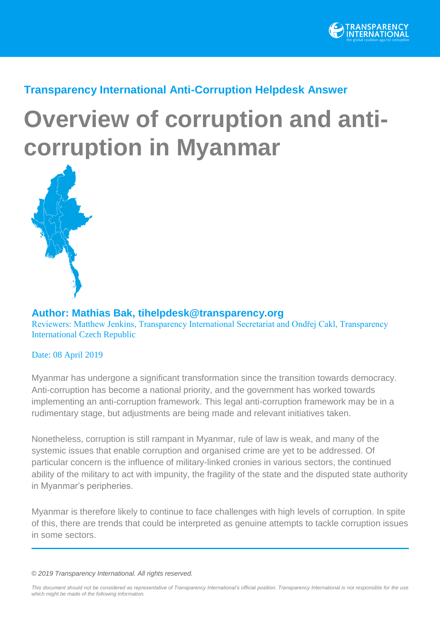

### **Transparency International Anti-Corruption Helpdesk Answer**

# **Overview of corruption and anticorruption in Myanmar**



**Author: Mathias Bak, [tihelpdesk@transparency.org](file:///C:/Users/alison/Downloads/tihelpdesk@transparency.org)** Reviewers: Matthew Jenkins, Transparency International Secretariat and Ondřej Cakl, Transparency International Czech Republic

#### Date: 08 April 2019

Myanmar has undergone a significant transformation since the transition towards democracy. Anti-corruption has become a national priority, and the government has worked towards implementing an anti-corruption framework. This legal anti-corruption framework may be in a rudimentary stage, but adjustments are being made and relevant initiatives taken.

Nonetheless, corruption is still rampant in Myanmar, rule of law is weak, and many of the systemic issues that enable corruption and organised crime are yet to be addressed. Of particular concern is the influence of military-linked cronies in various sectors, the continued ability of the military to act with impunity, the fragility of the state and the disputed state authority in Myanmar's peripheries.

Myanmar is therefore likely to continue to face challenges with high levels of corruption. In spite of this, there are trends that could be interpreted as genuine attempts to tackle corruption issues in some sectors.

#### *© 2019 Transparency International. All rights reserved.*

*This document should not be considered as representative of Transparency International's official position. Transparency International is not responsible for the use which might be made of the following information.*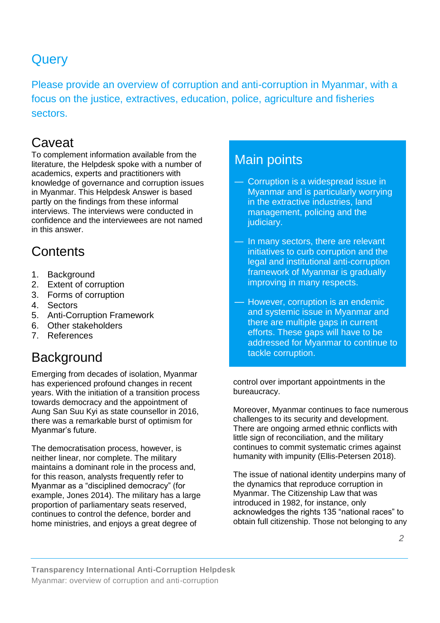# **Query**

Please provide an overview of corruption and anti-corruption in Myanmar, with a focus on the justice, extractives, education, police, agriculture and fisheries sectors.

# **Caveat**

To complement information available from the literature, the Helpdesk spoke with a number of academics, experts and practitioners with knowledge of governance and corruption issues in Myanmar. This Helpdesk Answer is based partly on the findings from these informal interviews. The interviews were conducted in confidence and the interviewees are not named in this answer.

# **Contents**

- 1. Background
- 2. Extent of corruption
- 3. Forms of corruption
- 4. Sectors
- 5. Anti-Corruption Framework
- 6. Other stakeholders
- 7. References

# **Background**

Emerging from decades of isolation, Myanmar has experienced profound changes in recent years. With the initiation of a transition process towards democracy and the appointment of Aung San Suu Kyi as state counsellor in 2016, there was a remarkable burst of optimism for Myanmar's future.

The democratisation process, however, is neither linear, nor complete. The military maintains a dominant role in the process and, for this reason, analysts frequently refer to Myanmar as a "disciplined democracy" (for example, Jones 2014). The military has a large proportion of parliamentary seats reserved, continues to control the defence, border and home ministries, and enjoys a great degree of

### Main points

- Corruption is a widespread issue in Myanmar and is particularly worrying in the extractive industries, land management, policing and the judiciary.
- In many sectors, there are relevant initiatives to curb corruption and the legal and institutional anti-corruption framework of Myanmar is gradually improving in many respects.
- However, corruption is an endemic and systemic issue in Myanmar and there are multiple gaps in current efforts. These gaps will have to be addressed for Myanmar to continue to tackle corruption.

control over important appointments in the bureaucracy.

Moreover, Myanmar continues to face numerous challenges to its security and development. There are ongoing armed ethnic conflicts with little sign of reconciliation, and the military continues to commit systematic crimes against humanity with impunity (Ellis-Petersen 2018).

The issue of national identity underpins many of the dynamics that reproduce corruption in Myanmar. The Citizenship Law that was introduced in 1982, for instance, only acknowledges the rights 135 "national races" to obtain full citizenship. Those not belonging to any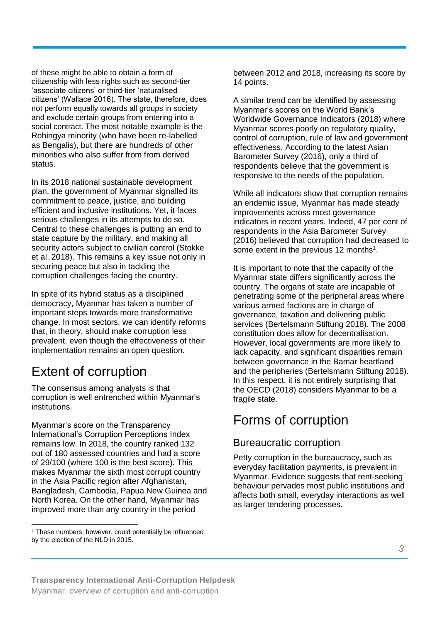of these might be able to obtain a form of citizenship with less rights such as second-tier 'associate citizens' or third-tier 'naturalised citizens' (Wallace 2016). The state, therefore, does not perform equally towards all groups in society and exclude certain groups from entering into a social contract. The most notable example is the Rohingya minority (who have been re-labelled as Bengalis), but there are hundreds of other minorities who also suffer from from derived status.

In its 2018 national sustainable development plan, the government of Myanmar signalled its commitment to peace, justice, and building efficient and inclusive institutions. Yet, it faces serious challenges in its attempts to do so. Central to these challenges is putting an end to state capture by the military, and making all security actors subject to civilian control (Stokke et al. 2018). This remains a key issue not only in securing peace but also in tackling the corruption challenges facing the country.

In spite of its hybrid status as a disciplined democracy, Myanmar has taken a number of important steps towards more transformative change. In most sectors, we can identify reforms that, in theory, should make corruption less prevalent, even though the effectiveness of their implementation remains an open question.

# Extent of corruption

The consensus among analysts is that corruption is well entrenched within Myanmar's institutions.

Myanmar's score on the Transparency International's Corruption Perceptions Index remains low. In 2018, the country ranked 132 out of 180 assessed countries and had a score of 29/100 (where 100 is the best score). This makes Myanmar the sixth most corrupt country in the Asia Pacific region after Afghanistan, Bangladesh, Cambodia, Papua New Guinea and North Korea. On the other hand, Myanmar has improved more than any country in the period

#### $\ddot{ }$ *<sup>1</sup>* These numbers, however, could potentially be influenced by the election of the NLD in 2015.

between 2012 and 2018, increasing its score by 14 points.

A similar trend can be identified by assessing Myanmar's scores on the World Bank's Worldwide Governance Indicators (2018) where Myanmar scores poorly on regulatory quality, control of corruption, rule of law and government effectiveness. According to the latest Asian Barometer Survey (2016), only a third of respondents believe that the government is responsive to the needs of the population.

While all indicators show that corruption remains an endemic issue, Myanmar has made steady improvements across most governance indicators in recent years. Indeed, 47 per cent of respondents in the Asia Barometer Survey (2016) believed that corruption had decreased to some extent in the previous 12 months<sup>1</sup>.

It is important to note that the capacity of the Myanmar state differs significantly across the country. The organs of state are incapable of penetrating some of the peripheral areas where various armed factions are in charge of governance, taxation and delivering public services (Bertelsmann Stiftung 2018). The 2008 constitution does allow for decentralisation. However, local governments are more likely to lack capacity, and significant disparities remain between governance in the Bamar heartland and the peripheries (Bertelsmann Stiftung 2018). In this respect, it is not entirely surprising that the OECD (2018) considers Myanmar to be a fragile state.

### Forms of corruption

### Bureaucratic corruption

Petty corruption in the bureaucracy, such as everyday facilitation payments, is prevalent in Myanmar. Evidence suggests that rent-seeking behaviour pervades most public institutions and affects both small, everyday interactions as well as larger tendering processes.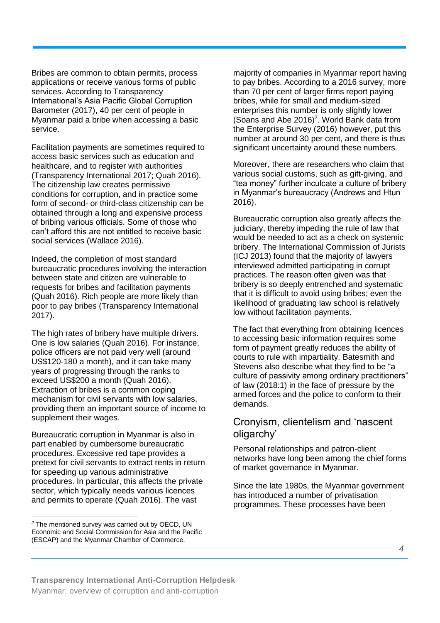Bribes are common to obtain permits, process applications or receive various forms of public services. According to Transparency International's Asia Pacific Global Corruption Barometer (2017), 40 per cent of people in Myanmar paid a bribe when accessing a basic service.

Facilitation payments are sometimes required to access basic services such as education and healthcare, and to register with authorities (Transparency International 2017; Quah 2016). The citizenship law creates permissive conditions for corruption, and in practice some form of second- or third-class citizenship can be obtained through a long and expensive process of bribing various officials. Some of those who can't afford this are not entitled to receive basic social services (Wallace 2016).

Indeed, the completion of most standard bureaucratic procedures involving the interaction between state and citizen are vulnerable to requests for bribes and facilitation payments (Quah 2016). Rich people are more likely than poor to pay bribes (Transparency International 2017).

The high rates of bribery have multiple drivers. One is low salaries (Quah 2016). For instance, police officers are not paid very well (around US\$120-180 a month), and it can take many years of progressing through the ranks to exceed US\$200 a month (Quah 2016). Extraction of bribes is a common coping mechanism for civil servants with low salaries, providing them an important source of income to supplement their wages.

Bureaucratic corruption in Myanmar is also in part enabled by cumbersome bureaucratic procedures. Excessive red tape provides a pretext for civil servants to extract rents in return for speeding up various administrative procedures. In particular, this affects the private sector, which typically needs various licences and permits to operate (Quah 2016). The vast

 $\ddot{ }$ 

majority of companies in Myanmar report having to pay bribes. According to a 2016 survey, more than 70 per cent of larger firms report paying bribes, while for small and medium-sized enterprises this number is only slightly lower (Soans and Abe 2016)<sup>2</sup>. World Bank data from the Enterprise Survey (2016) however, put this number at around 30 per cent, and there is thus significant uncertainty around these numbers.

Moreover, there are researchers who claim that various social customs, such as gift-giving, and "tea money" further inculcate a culture of bribery in Myanmar's bureaucracy (Andrews and Htun 2016).

Bureaucratic corruption also greatly affects the judiciary, thereby impeding the rule of law that would be needed to act as a check on systemic bribery. The International Commission of Jurists (ICJ 2013) found that the majority of lawyers interviewed admitted participating in corrupt practices. The reason often given was that bribery is so deeply entrenched and systematic that it is difficult to avoid using bribes; even the likelihood of graduating law school is relatively low without facilitation payments.

The fact that everything from obtaining licences to accessing basic information requires some form of payment greatly reduces the ability of courts to rule with impartiality. Batesmith and Stevens also describe what they find to be "a culture of passivity among ordinary practitioners" of law (2018:1) in the face of pressure by the armed forces and the police to conform to their demands.

#### Cronyism, clientelism and 'nascent oligarchy'

Personal relationships and patron-client networks have long been among the chief forms of market governance in Myanmar.

Since the late 1980s, the Myanmar government has introduced a number of privatisation programmes. These processes have been

*<sup>2</sup>* The mentioned survey was carried out by OECD, UN Economic and Social Commission for Asia and the Pacific (ESCAP) and the Myanmar Chamber of Commerce.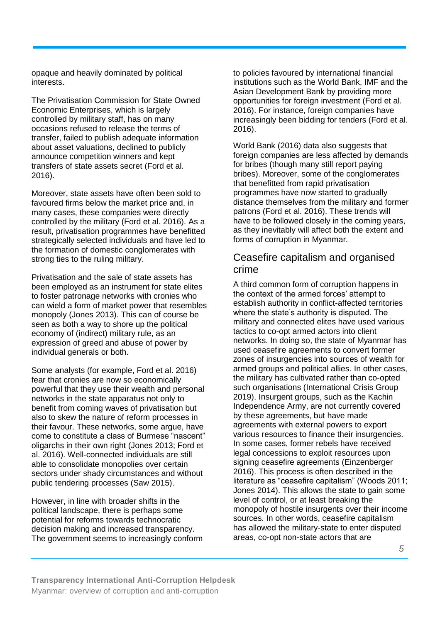opaque and heavily dominated by political interests.

The Privatisation Commission for State Owned Economic Enterprises, which is largely controlled by military staff, has on many occasions refused to release the terms of transfer, failed to publish adequate information about asset valuations, declined to publicly announce competition winners and kept transfers of state assets secret (Ford et al. 2016).

Moreover, state assets have often been sold to favoured firms below the market price and, in many cases, these companies were directly controlled by the military (Ford et al. 2016). As a result, privatisation programmes have benefitted strategically selected individuals and have led to the formation of domestic conglomerates with strong ties to the ruling military.

Privatisation and the sale of state assets has been employed as an instrument for state elites to foster patronage networks with cronies who can wield a form of market power that resembles monopoly (Jones 2013). This can of course be seen as both a way to shore up the political economy of (indirect) military rule, as an expression of greed and abuse of power by individual generals or both.

Some analysts (for example, Ford et al. 2016) fear that cronies are now so economically powerful that they use their wealth and personal networks in the state apparatus not only to benefit from coming waves of privatisation but also to skew the nature of reform processes in their favour. These networks, some argue, have come to constitute a class of Burmese "nascent" oligarchs in their own right (Jones 2013; Ford et al. 2016). Well-connected individuals are still able to consolidate monopolies over certain sectors under shady circumstances and without public tendering processes (Saw 2015).

However, in line with broader shifts in the political landscape, there is perhaps some potential for reforms towards technocratic decision making and increased transparency. The government seems to increasingly conform to policies favoured by international financial institutions such as the World Bank, IMF and the Asian Development Bank by providing more opportunities for foreign investment (Ford et al. 2016). For instance, foreign companies have increasingly been bidding for tenders (Ford et al. 2016).

World Bank (2016) data also suggests that foreign companies are less affected by demands for bribes (though many still report paying bribes). Moreover, some of the conglomerates that benefitted from rapid privatisation programmes have now started to gradually distance themselves from the military and former patrons (Ford et al. 2016). These trends will have to be followed closely in the coming years, as they inevitably will affect both the extent and forms of corruption in Myanmar.

#### Ceasefire capitalism and organised crime

A third common form of corruption happens in the context of the armed forces' attempt to establish authority in conflict-affected territories where the state's authority is disputed. The military and connected elites have used various tactics to co-opt armed actors into client networks. In doing so, the state of Myanmar has used ceasefire agreements to convert former zones of insurgencies into sources of wealth for armed groups and political allies. In other cases, the military has cultivated rather than co-opted such organisations (International Crisis Group 2019). Insurgent groups, such as the Kachin Independence Army, are not currently covered by these agreements, but have made agreements with external powers to export various resources to finance their insurgencies. In some cases, former rebels have received legal concessions to exploit resources upon signing ceasefire agreements (Einzenberger 2016). This process is often described in the literature as "ceasefire capitalism" (Woods 2011; Jones 2014). This allows the state to gain some level of control, or at least breaking the monopoly of hostile insurgents over their income sources. In other words, ceasefire capitalism has allowed the military-state to enter disputed areas, co-opt non-state actors that are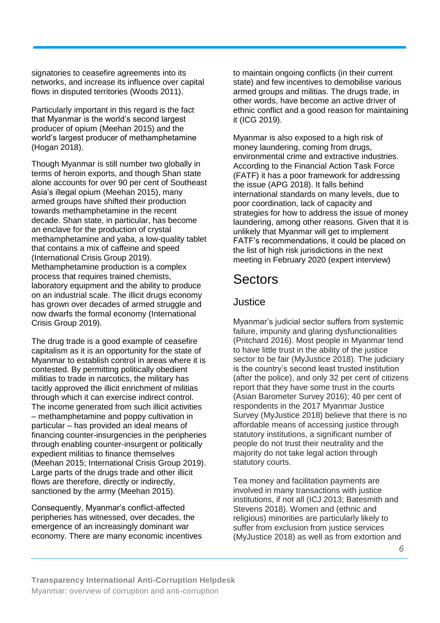signatories to ceasefire agreements into its networks, and increase its influence over capital flows in disputed territories (Woods 2011).

Particularly important in this regard is the fact that Myanmar is the world's second largest producer of opium (Meehan 2015) and the world's largest producer of methamphetamine (Hogan 2018).

Though Myanmar is still number two globally in terms of heroin exports, and though Shan state alone accounts for over 90 per cent of Southeast Asia's illegal opium (Meehan 2015), many armed groups have shifted their production towards methamphetamine in the recent decade. Shan state, in particular, has become an enclave for the production of crystal methamphetamine and yaba, a low-quality tablet that contains a mix of caffeine and speed (International Crisis Group 2019). Methamphetamine production is a complex process that requires trained chemists, laboratory equipment and the ability to produce on an industrial scale. The illicit drugs economy has grown over decades of armed struggle and now dwarfs the formal economy (International Crisis Group 2019).

The drug trade is a good example of ceasefire capitalism as it is an opportunity for the state of Myanmar to establish control in areas where it is contested. By permitting politically obedient militias to trade in narcotics, the military has tacitly approved the illicit enrichment of militias through which it can exercise indirect control. The income generated from such illicit activities – methamphetamine and poppy cultivation in particular – has provided an ideal means of financing counter-insurgencies in the peripheries through enabling counter-insurgent or politically expedient militias to finance themselves (Meehan 2015; International Crisis Group 2019). Large parts of the drugs trade and other illicit flows are therefore, directly or indirectly, sanctioned by the army (Meehan 2015).

Consequently, Myanmar's conflict-affected peripheries has witnessed, over decades, the emergence of an increasingly dominant war economy. There are many economic incentives to maintain ongoing conflicts (in their current state) and few incentives to demobilise various armed groups and militias. The drugs trade, in other words, have become an active driver of ethnic conflict and a good reason for maintaining it (ICG 2019).

Myanmar is also exposed to a high risk of money laundering, coming from drugs, environmental crime and extractive industries. According to the Financial Action Task Force (FATF) it has a poor framework for addressing the issue (APG 2018). It falls behind international standards on many levels, due to poor coordination, lack of capacity and strategies for how to address the issue of money laundering, among other reasons. Given that it is unlikely that Myanmar will get to implement FATF's recommendations, it could be placed on the list of high risk jurisdictions in the next meeting in February 2020 (expert interview)

# Sectors

### Justice

Myanmar's judicial sector suffers from systemic failure, impunity and glaring dysfunctionalities (Pritchard 2016). Most people in Myanmar tend to have little trust in the ability of the justice sector to be fair (MyJustice 2018). The judiciary is the country's second least trusted institution (after the police), and only 32 per cent of citizens report that they have some trust in the courts (Asian Barometer Survey 2016); 40 per cent of respondents in the 2017 Myanmar Justice Survey (MyJustice 2018) believe that there is no affordable means of accessing justice through statutory institutions, a significant number of people do not trust their neutrality and the majority do not take legal action through statutory courts.

Tea money and facilitation payments are involved in many transactions with justice institutions, if not all (ICJ 2013; Batesmith and Stevens 2018). Women and (ethnic and religious) minorities are particularly likely to suffer from exclusion from justice services (MyJustice 2018) as well as from extortion and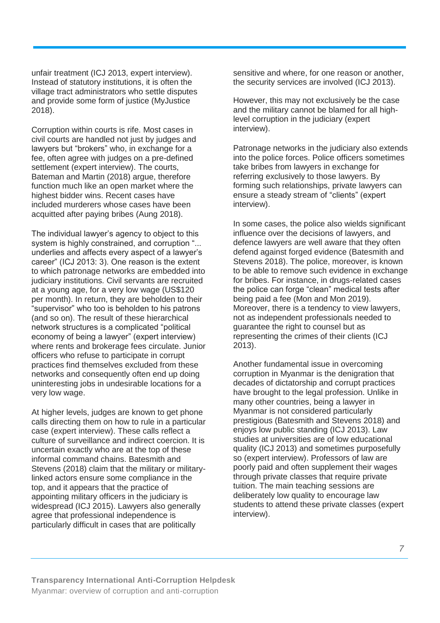unfair treatment (ICJ 2013, expert interview). Instead of statutory institutions, it is often the village tract administrators who settle disputes and provide some form of justice (MyJustice 2018).

Corruption within courts is rife. Most cases in civil courts are handled not just by judges and lawyers but "brokers" who, in exchange for a fee, often agree with judges on a pre-defined settlement (expert interview). The courts, Bateman and Martin (2018) argue, therefore function much like an open market where the highest bidder wins. Recent cases have included murderers whose cases have been acquitted after paying bribes (Aung 2018).

The individual lawyer's agency to object to this system is highly constrained, and corruption "... underlies and affects every aspect of a lawyer's career" (ICJ 2013: 3). One reason is the extent to which patronage networks are embedded into judiciary institutions. Civil servants are recruited at a young age, for a very low wage (US\$120 per month). In return, they are beholden to their "supervisor" who too is beholden to his patrons (and so on). The result of these hierarchical network structures is a complicated "political economy of being a lawyer" (expert interview) where rents and brokerage fees circulate. Junior officers who refuse to participate in corrupt practices find themselves excluded from these networks and consequently often end up doing uninteresting jobs in undesirable locations for a very low wage.

At higher levels, judges are known to get phone calls directing them on how to rule in a particular case (expert interview). These calls reflect a culture of surveillance and indirect coercion. It is uncertain exactly who are at the top of these informal command chains. Batesmith and Stevens (2018) claim that the military or militarylinked actors ensure some compliance in the top, and it appears that the practice of appointing military officers in the judiciary is widespread (ICJ 2015). Lawyers also generally agree that professional independence is particularly difficult in cases that are politically

sensitive and where, for one reason or another, the security services are involved (ICJ 2013).

However, this may not exclusively be the case and the military cannot be blamed for all highlevel corruption in the judiciary (expert interview).

Patronage networks in the judiciary also extends into the police forces. Police officers sometimes take bribes from lawyers in exchange for referring exclusively to those lawyers. By forming such relationships, private lawyers can ensure a steady stream of "clients" (expert interview).

In some cases, the police also wields significant influence over the decisions of lawyers, and defence lawyers are well aware that they often defend against forged evidence (Batesmith and Stevens 2018). The police, moreover, is known to be able to remove such evidence in exchange for bribes. For instance, in drugs-related cases the police can forge "clean" medical tests after being paid a fee (Mon and Mon 2019). Moreover, there is a tendency to view lawyers, not as independent professionals needed to guarantee the right to counsel but as representing the crimes of their clients (ICJ 2013).

Another fundamental issue in overcoming corruption in Myanmar is the denigration that decades of dictatorship and corrupt practices have brought to the legal profession. Unlike in many other countries, being a lawyer in Myanmar is not considered particularly prestigious (Batesmith and Stevens 2018) and enjoys low public standing (ICJ 2013). Law studies at universities are of low educational quality (ICJ 2013) and sometimes purposefully so (expert interview). Professors of law are poorly paid and often supplement their wages through private classes that require private tuition. The main teaching sessions are deliberately low quality to encourage law students to attend these private classes (expert interview).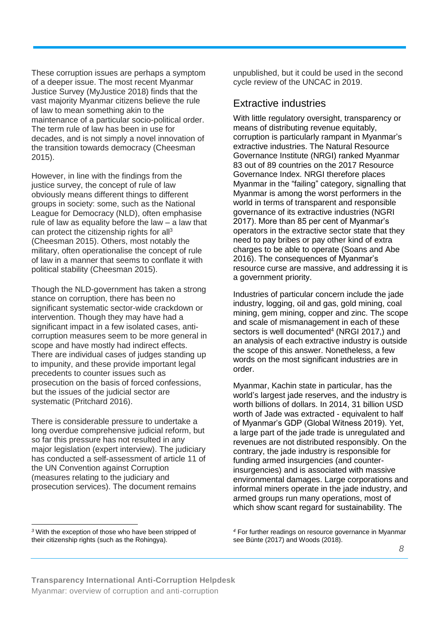These corruption issues are perhaps a symptom of a deeper issue. The most recent Myanmar Justice Survey (MyJustice 2018) finds that the vast majority Myanmar citizens believe the rule of law to mean something akin to the maintenance of a particular socio-political order. The term rule of law has been in use for decades, and is not simply a novel innovation of the transition towards democracy (Cheesman 2015).

However, in line with the findings from the justice survey, the concept of rule of law obviously means different things to different groups in society: some, such as the National League for Democracy (NLD), often emphasise rule of law as equality before the law – a law that can protect the citizenship rights for  $all<sup>3</sup>$ (Cheesman 2015). Others, most notably the military, often operationalise the concept of rule of law in a manner that seems to conflate it with political stability (Cheesman 2015).

Though the NLD-government has taken a strong stance on corruption, there has been no significant systematic sector-wide crackdown or intervention. Though they may have had a significant impact in a few isolated cases, anticorruption measures seem to be more general in scope and have mostly had indirect effects. There are individual cases of judges standing up to impunity, and these provide important legal precedents to counter issues such as prosecution on the basis of forced confessions, but the issues of the judicial sector are systematic (Pritchard 2016).

There is considerable pressure to undertake a long overdue comprehensive judicial reform, but so far this pressure has not resulted in any major legislation (expert interview). The judiciary has conducted a self-assessment of article 11 of the UN Convention against Corruption (measures relating to the judiciary and prosecution services). The document remains

unpublished, but it could be used in the second cycle review of the UNCAC in 2019.

#### Extractive industries

With little regulatory oversight, transparency or means of distributing revenue equitably, corruption is particularly rampant in Myanmar's extractive industries. The Natural Resource Governance Institute (NRGI) ranked Myanmar 83 out of 89 countries on the 2017 Resource Governance Index. NRGI therefore places Myanmar in the "failing" category, signalling that Myanmar is among the worst performers in the world in terms of transparent and responsible governance of its extractive industries (NGRI 2017). More than 85 per cent of Myanmar's operators in the extractive sector state that they need to pay bribes or pay other kind of extra charges to be able to operate (Soans and Abe 2016). The consequences of Myanmar's resource curse are massive, and addressing it is a government priority.

Industries of particular concern include the jade industry, logging, oil and gas, gold mining, coal mining, gem mining, copper and zinc. The scope and scale of mismanagement in each of these sectors is well documented<sup>4</sup> (NRGI 2017,) and an analysis of each extractive industry is outside the scope of this answer. Nonetheless, a few words on the most significant industries are in order.

Myanmar, Kachin state in particular, has the world's largest jade reserves, and the industry is worth billions of dollars. In 2014, 31 billion USD worth of Jade was extracted - equivalent to half of Myanmar's GDP (Global Witness 2019). Yet, a large part of the jade trade is unregulated and revenues are not distributed responsibly. On the contrary, the jade industry is responsible for funding armed insurgencies (and counterinsurgencies) and is associated with massive environmental damages. Large corporations and informal miners operate in the jade industry, and armed groups run many operations, most of which show scant regard for sustainability. The

 $\ddot{ }$ *<sup>3</sup>* With the exception of those who have been stripped of their citizenship rights (such as the Rohingya).

*<sup>4</sup>* For further readings on resource governance in Myanmar see Bünte (2017) and Woods (2018).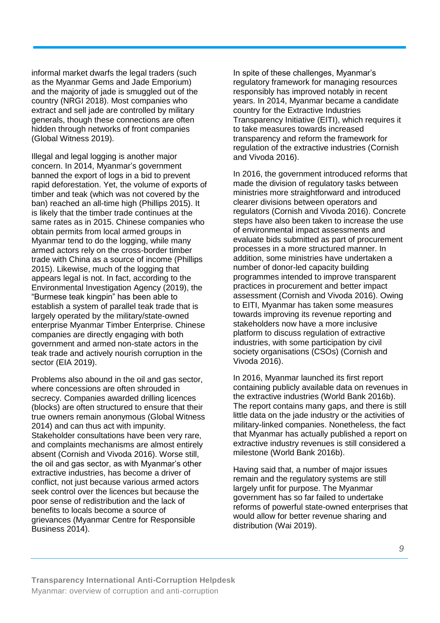informal market dwarfs the legal traders (such as the Myanmar Gems and Jade Emporium) and the majority of jade is smuggled out of the country (NRGI 2018). Most companies who extract and sell jade are controlled by military generals, though these connections are often hidden through networks of front companies (Global Witness 2019).

Illegal and legal logging is another major concern. In 2014, Myanmar's government banned the export of logs in a bid to prevent rapid deforestation. Yet, the volume of exports of timber and teak (which was not covered by the ban) reached an all-time high (Phillips 2015). It is likely that the timber trade continues at the same rates as in 2015. Chinese companies who obtain permits from local armed groups in Myanmar tend to do the logging, while many armed actors rely on the cross-border timber trade with China as a source of income (Phillips 2015). Likewise, much of the logging that appears legal is not. In fact, according to the Environmental Investigation Agency (2019), the "Burmese teak kingpin" has been able to establish a system of parallel teak trade that is largely operated by the military/state-owned enterprise Myanmar Timber Enterprise. Chinese companies are directly engaging with both government and armed non-state actors in the teak trade and actively nourish corruption in the sector (EIA 2019).

Problems also abound in the oil and gas sector, where concessions are often shrouded in secrecy. Companies awarded drilling licences (blocks) are often structured to ensure that their true owners remain anonymous (Global Witness 2014) and can thus act with impunity. Stakeholder consultations have been very rare, and complaints mechanisms are almost entirely absent (Cornish and Vivoda 2016). Worse still, the oil and gas sector, as with Myanmar's other extractive industries, has become a driver of conflict, not just because various armed actors seek control over the licences but because the poor sense of redistribution and the lack of benefits to locals become a source of grievances (Myanmar Centre for Responsible Business 2014).

In spite of these challenges, Myanmar's regulatory framework for managing resources responsibly has improved notably in recent years. In 2014, Myanmar became a candidate country for the Extractive Industries Transparency Initiative (EITI), which requires it to take measures towards increased transparency and reform the framework for regulation of the extractive industries (Cornish and Vivoda 2016).

In 2016, the government introduced reforms that made the division of regulatory tasks between ministries more straightforward and introduced clearer divisions between operators and regulators (Cornish and Vivoda 2016). Concrete steps have also been taken to increase the use of environmental impact assessments and evaluate bids submitted as part of procurement processes in a more structured manner. In addition, some ministries have undertaken a number of donor-led capacity building programmes intended to improve transparent practices in procurement and better impact assessment (Cornish and Vivoda 2016). Owing to EITI, Myanmar has taken some measures towards improving its revenue reporting and stakeholders now have a more inclusive platform to discuss regulation of extractive industries, with some participation by civil society organisations (CSOs) (Cornish and Vivoda 2016).

In 2016, Myanmar launched its first report containing publicly available data on revenues in the extractive industries (World Bank 2016b). The report contains many gaps, and there is still little data on the jade industry or the activities of military-linked companies. Nonetheless, the fact that Myanmar has actually published a report on extractive industry revenues is still considered a milestone (World Bank 2016b).

Having said that, a number of major issues remain and the regulatory systems are still largely unfit for purpose. The Myanmar government has so far failed to undertake reforms of powerful state-owned enterprises that would allow for better revenue sharing and distribution (Wai 2019).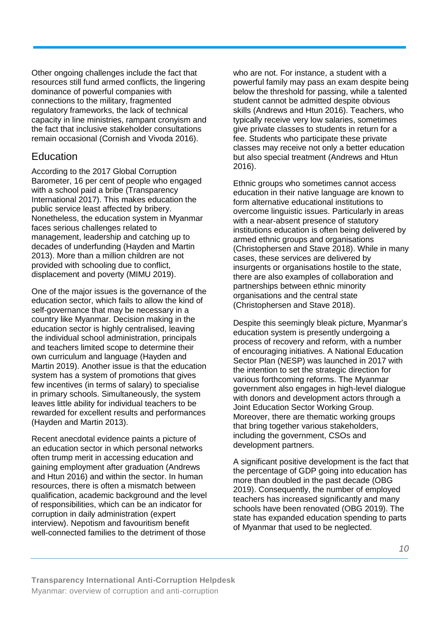Other ongoing challenges include the fact that resources still fund armed conflicts, the lingering dominance of powerful companies with connections to the military, fragmented regulatory frameworks, the lack of technical capacity in line ministries, rampant cronyism and the fact that inclusive stakeholder consultations remain occasional (Cornish and Vivoda 2016).

#### **Education**

According to the 2017 Global Corruption Barometer, 16 per cent of people who engaged with a school paid a bribe (Transparency International 2017). This makes education the public service least affected by bribery. Nonetheless, the education system in Myanmar faces serious challenges related to management, leadership and catching up to decades of underfunding (Hayden and Martin 2013). More than a million children are not provided with schooling due to conflict, displacement and poverty (MIMU 2019).

One of the major issues is the governance of the education sector, which fails to allow the kind of self-governance that may be necessary in a country like Myanmar. Decision making in the education sector is highly centralised, leaving the individual school administration, principals and teachers limited scope to determine their own curriculum and language (Hayden and Martin 2019). Another issue is that the education system has a system of promotions that gives few incentives (in terms of salary) to specialise in primary schools. Simultaneously, the system leaves little ability for individual teachers to be rewarded for excellent results and performances (Hayden and Martin 2013).

Recent anecdotal evidence paints a picture of an education sector in which personal networks often trump merit in accessing education and gaining employment after graduation (Andrews and Htun 2016) and within the sector. In human resources, there is often a mismatch between qualification, academic background and the level of responsibilities, which can be an indicator for corruption in daily administration (expert interview). Nepotism and favouritism benefit well-connected families to the detriment of those

who are not. For instance, a student with a powerful family may pass an exam despite being below the threshold for passing, while a talented student cannot be admitted despite obvious skills (Andrews and Htun 2016). Teachers, who typically receive very low salaries, sometimes give private classes to students in return for a fee. Students who participate these private classes may receive not only a better education but also special treatment (Andrews and Htun 2016).

Ethnic groups who sometimes cannot access education in their native language are known to form alternative educational institutions to overcome linguistic issues. Particularly in areas with a near-absent presence of statutory institutions education is often being delivered by armed ethnic groups and organisations (Christophersen and Stave 2018). While in many cases, these services are delivered by insurgents or organisations hostile to the state, there are also examples of collaboration and partnerships between ethnic minority organisations and the central state (Christophersen and Stave 2018).

Despite this seemingly bleak picture, Myanmar's education system is presently undergoing a process of recovery and reform, with a number of encouraging initiatives. A National Education Sector Plan (NESP) was launched in 2017 with the intention to set the strategic direction for various forthcoming reforms. The Myanmar government also engages in high-level dialogue with donors and development actors through a Joint Education Sector Working Group. Moreover, there are thematic working groups that bring together various stakeholders, including the government, CSOs and development partners.

A significant positive development is the fact that the percentage of GDP going into education has more than doubled in the past decade (OBG 2019). Consequently, the number of employed teachers has increased significantly and many schools have been renovated (OBG 2019). The state has expanded education spending to parts of Myanmar that used to be neglected.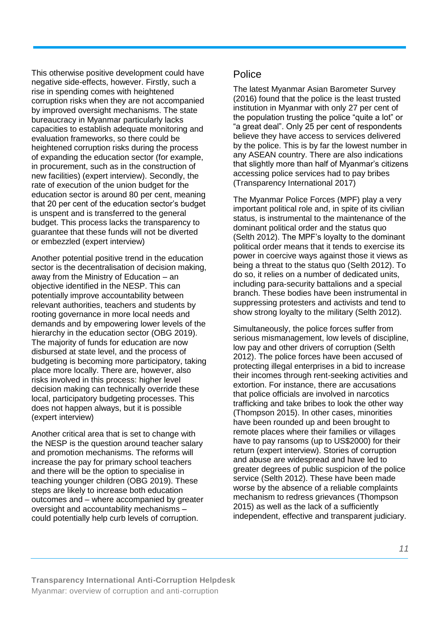This otherwise positive development could have negative side-effects, however. Firstly, such a rise in spending comes with heightened corruption risks when they are not accompanied by improved oversight mechanisms. The state bureaucracy in Myanmar particularly lacks capacities to establish adequate monitoring and evaluation frameworks, so there could be heightened corruption risks during the process of expanding the education sector (for example, in procurement, such as in the construction of new facilities) (expert interview). Secondly, the rate of execution of the union budget for the education sector is around 80 per cent, meaning that 20 per cent of the education sector's budget is unspent and is transferred to the general budget. This process lacks the transparency to guarantee that these funds will not be diverted or embezzled (expert interview)

Another potential positive trend in the education sector is the decentralisation of decision making, away from the Ministry of Education – an objective identified in the NESP. This can potentially improve accountability between relevant authorities, teachers and students by rooting governance in more local needs and demands and by empowering lower levels of the hierarchy in the education sector (OBG 2019). The majority of funds for education are now disbursed at state level, and the process of budgeting is becoming more participatory, taking place more locally. There are, however, also risks involved in this process: higher level decision making can technically override these local, participatory budgeting processes. This does not happen always, but it is possible (expert interview)

Another critical area that is set to change with the NESP is the question around teacher salary and promotion mechanisms. The reforms will increase the pay for primary school teachers and there will be the option to specialise in teaching younger children (OBG 2019). These steps are likely to increase both education outcomes and – where accompanied by greater oversight and accountability mechanisms – could potentially help curb levels of corruption.

#### Police

The latest Myanmar Asian Barometer Survey (2016) found that the police is the least trusted institution in Myanmar with only 27 per cent of the population trusting the police "quite a lot" or "a great deal". Only 25 per cent of respondents believe they have access to services delivered by the police. This is by far the lowest number in any ASEAN country. There are also indications that slightly more than half of Myanmar's citizens accessing police services had to pay bribes (Transparency International 2017)

The Myanmar Police Forces (MPF) play a very important political role and, in spite of its civilian status, is instrumental to the maintenance of the dominant political order and the status quo (Selth 2012). The MPF's loyalty to the dominant political order means that it tends to exercise its power in coercive ways against those it views as being a threat to the status quo (Selth 2012). To do so, it relies on a number of dedicated units, including para-security battalions and a special branch. These bodies have been instrumental in suppressing protesters and activists and tend to show strong loyalty to the military (Selth 2012).

Simultaneously, the police forces suffer from serious mismanagement, low levels of discipline, low pay and other drivers of corruption (Selth 2012). The police forces have been accused of protecting illegal enterprises in a bid to increase their incomes through rent-seeking activities and extortion. For instance, there are accusations that police officials are involved in narcotics trafficking and take bribes to look the other way (Thompson 2015). In other cases, minorities have been rounded up and been brought to remote places where their families or villages have to pay ransoms (up to US\$2000) for their return (expert interview). Stories of corruption and abuse are widespread and have led to greater degrees of public suspicion of the police service (Selth 2012). These have been made worse by the absence of a reliable complaints mechanism to redress grievances (Thompson 2015) as well as the lack of a sufficiently independent, effective and transparent judiciary.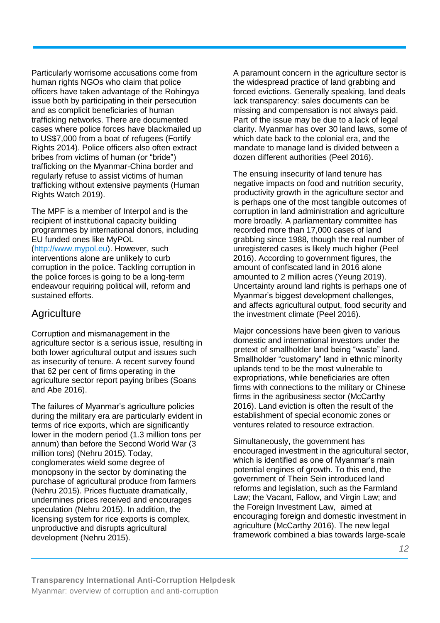Particularly worrisome accusations come from human rights NGOs who claim that police officers have taken advantage of the Rohingya issue both by participating in their persecution and as complicit beneficiaries of human trafficking networks. There are documented cases where police forces have blackmailed up to US\$7,000 from a boat of refugees (Fortify Rights 2014). Police officers also often extract bribes from victims of human (or "bride") trafficking on the Myanmar-China border and regularly refuse to assist victims of human trafficking without extensive payments (Human Rights Watch 2019).

The MPF is a member of Interpol and is the recipient of institutional capacity building programmes by international donors, including EU funded ones like MyPOL [\(http://www.mypol.eu\)](http://www.mypol.eu/). However, such interventions alone are unlikely to curb corruption in the police. Tackling corruption in the police forces is going to be a long-term endeavour requiring political will, reform and sustained efforts.

#### **Agriculture**

Corruption and mismanagement in the agriculture sector is a serious issue, resulting in both lower agricultural output and issues such as insecurity of tenure. A recent survey found that 62 per cent of firms operating in the agriculture sector report paying bribes (Soans and Abe 2016).

The failures of Myanmar's agriculture policies during the military era are particularly evident in terms of rice exports, which are significantly lower in the modern period (1.3 million tons per annum) than before the Second World War (3 million tons) (Nehru 2015). Today, conglomerates wield some degree of monopsony in the sector by dominating the purchase of agricultural produce from farmers (Nehru 2015). Prices fluctuate dramatically, undermines prices received and encourages speculation (Nehru 2015). In addition, the licensing system for rice exports is complex, unproductive and disrupts agricultural development (Nehru 2015).

A paramount concern in the agriculture sector is the widespread practice of land grabbing and forced evictions. Generally speaking, land deals lack transparency: sales documents can be missing and compensation is not always paid. Part of the issue may be due to a lack of legal clarity. Myanmar has over 30 land laws, some of which date back to the colonial era, and the mandate to manage land is divided between a dozen different authorities (Peel 2016).

The ensuing insecurity of land tenure has negative impacts on food and nutrition security, productivity growth in the agriculture sector and is perhaps one of the most tangible outcomes of corruption in land administration and agriculture more broadly. A parliamentary committee has recorded more than 17,000 cases of land grabbing since 1988, though the real number of unregistered cases is likely much higher (Peel 2016). According to government figures, the amount of confiscated land in 2016 alone amounted to 2 million acres (Yeung 2019). Uncertainty around land rights is perhaps one of Myanmar's biggest development challenges, and affects agricultural output, food security and the investment climate (Peel 2016).

Major concessions have been given to various domestic and international investors under the pretext of smallholder land being "waste" land. Smallholder "customary" land in ethnic minority uplands tend to be the most vulnerable to expropriations, while beneficiaries are often firms with connections to the military or Chinese firms in the agribusiness sector (McCarthy 2016). Land eviction is often the result of the establishment of special economic zones or ventures related to resource extraction.

Simultaneously, the government has encouraged investment in the agricultural sector, which is identified as one of Myanmar's main potential engines of growth. To this end, the government of Thein Sein introduced land reforms and legislation, such as the Farmland Law; the Vacant, Fallow, and Virgin Law; and the Foreign Investment Law, aimed at encouraging foreign and domestic investment in agriculture (McCarthy 2016). The new legal framework combined a bias towards large-scale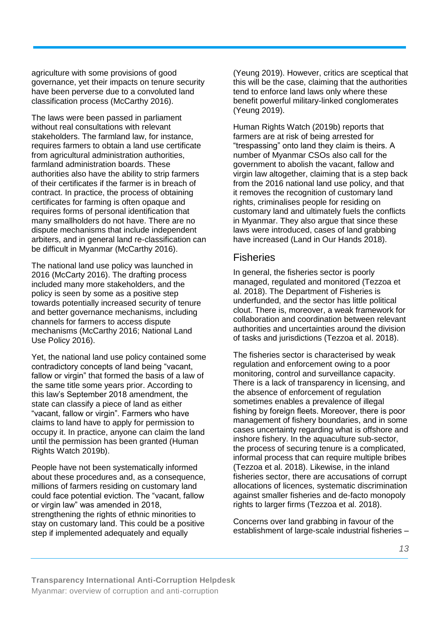agriculture with some provisions of good governance, yet their impacts on tenure security have been perverse due to a convoluted land classification process (McCarthy 2016).

The laws were been passed in parliament without real consultations with relevant stakeholders. The farmland law, for instance, requires farmers to obtain a land use certificate from agricultural administration authorities, farmland administration boards. These authorities also have the ability to strip farmers of their certificates if the farmer is in breach of contract. In practice, the process of obtaining certificates for farming is often opaque and requires forms of personal identification that many smallholders do not have. There are no dispute mechanisms that include independent arbiters, and in general land re-classification can be difficult in Myanmar (McCarthy 2016).

The national land use policy was launched in 2016 (McCarty 2016). The drafting process included many more stakeholders, and the policy is seen by some as a positive step towards potentially increased security of tenure and better governance mechanisms, including channels for farmers to access dispute mechanisms (McCarthy 2016; National Land Use Policy 2016).

Yet, the national land use policy contained some contradictory concepts of land being "vacant, fallow or virgin" that formed the basis of a law of the same title some years prior. According to this law's September 2018 amendment, the state can classify a piece of land as either "vacant, fallow or virgin". Farmers who have claims to land have to apply for permission to occupy it. In practice, anyone can claim the land until the permission has been granted (Human Rights Watch 2019b).

People have not been systematically informed about these procedures and, as a consequence, millions of farmers residing on customary land could face potential eviction. The "vacant, fallow or virgin law" was amended in 2018, strengthening the rights of ethnic minorities to stay on customary land. This could be a positive step if implemented adequately and equally

(Yeung 2019). However, critics are sceptical that this will be the case, claiming that the authorities tend to enforce land laws only where these benefit powerful military-linked conglomerates (Yeung 2019).

Human Rights Watch (2019b) reports that farmers are at risk of being arrested for "trespassing" onto land they claim is theirs. A number of Myanmar CSOs also call for the government to abolish the vacant, fallow and virgin law altogether, claiming that is a step back from the 2016 national land use policy, and that it removes the recognition of customary land rights, criminalises people for residing on customary land and ultimately fuels the conflicts in Myanmar. They also argue that since these laws were introduced, cases of land grabbing have increased (Land in Our Hands 2018).

#### **Fisheries**

In general, the fisheries sector is poorly managed, regulated and monitored (Tezzoa et al. 2018). The Department of Fisheries is underfunded, and the sector has little political clout. There is, moreover, a weak framework for collaboration and coordination between relevant authorities and uncertainties around the division of tasks and jurisdictions (Tezzoa et al. 2018).

The fisheries sector is characterised by weak regulation and enforcement owing to a poor monitoring, control and surveillance capacity. There is a lack of transparency in licensing, and the absence of enforcement of regulation sometimes enables a prevalence of illegal fishing by foreign fleets. Moreover, there is poor management of fishery boundaries, and in some cases uncertainty regarding what is offshore and inshore fishery. In the aquaculture sub-sector, the process of securing tenure is a complicated, informal process that can require multiple bribes (Tezzoa et al. 2018). Likewise, in the inland fisheries sector, there are accusations of corrupt allocations of licences, systematic discrimination against smaller fisheries and de-facto monopoly rights to larger firms (Tezzoa et al. 2018).

Concerns over land grabbing in favour of the establishment of large-scale industrial fisheries –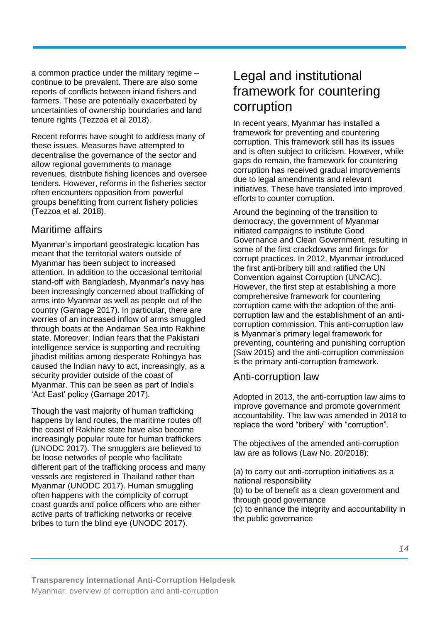a common practice under the military regime – continue to be prevalent. There are also some reports of conflicts between inland fishers and farmers. These are potentially exacerbated by uncertainties of ownership boundaries and land tenure rights (Tezzoa et al 2018).

Recent reforms have sought to address many of these issues. Measures have attempted to decentralise the governance of the sector and allow regional governments to manage revenues, distribute fishing licences and oversee tenders. However, reforms in the fisheries sector often encounters opposition from powerful groups benefitting from current fishery policies (Tezzoa et al. 2018).

### Maritime affairs

Myanmar's important geostrategic location has meant that the territorial waters outside of Myanmar has been subject to increased attention. In addition to the occasional territorial stand-off with Bangladesh, Myanmar's navy has been increasingly concerned about trafficking of arms into Myanmar as well as people out of the country (Gamage 2017). In particular, there are worries of an increased inflow of arms smuggled through boats at the Andaman Sea into Rakhine state. Moreover, Indian fears that the Pakistani intelligence service is supporting and recruiting jihadist militias among desperate Rohingya has caused the Indian navy to act, increasingly, as a security provider outside of the coast of Myanmar. This can be seen as part of India's 'Act East' policy (Gamage 2017).

Though the vast majority of human trafficking happens by land routes, the maritime routes off the coast of Rakhine state have also become increasingly popular route for human traffickers (UNODC 2017). The smugglers are believed to be loose networks of people who facilitate different part of the trafficking process and many vessels are registered in Thailand rather than Myanmar (UNODC 2017). Human smuggling often happens with the complicity of corrupt coast guards and police officers who are either active parts of trafficking networks or receive bribes to turn the blind eye (UNODC 2017).

### Legal and institutional framework for countering corruption

In recent years, Myanmar has installed a framework for preventing and countering corruption. This framework still has its issues and is often subject to criticism. However, while gaps do remain, the framework for countering corruption has received gradual improvements due to legal amendments and relevant initiatives. These have translated into improved efforts to counter corruption.

Around the beginning of the transition to democracy, the government of Myanmar initiated campaigns to institute Good Governance and Clean Government, resulting in some of the first crackdowns and firings for corrupt practices. In 2012, Myanmar introduced the first anti-bribery bill and ratified the UN Convention against Corruption (UNCAC). However, the first step at establishing a more comprehensive framework for countering corruption came with the adoption of the anticorruption law and the establishment of an anticorruption commission. This anti-corruption law is Myanmar's primary legal framework for preventing, countering and punishing corruption (Saw 2015) and the anti-corruption commission is the primary anti-corruption framework.

#### Anti-corruption law

Adopted in 2013, the anti-corruption law aims to improve governance and promote government accountability. The law was amended in 2018 to replace the word "bribery" with "corruption".

The objectives of the amended anti-corruption law are as follows (Law No. 20/2018):

(a) to carry out anti-corruption initiatives as a national responsibility (b) to be of benefit as a clean government and through good governance (c) to enhance the integrity and accountability in the public governance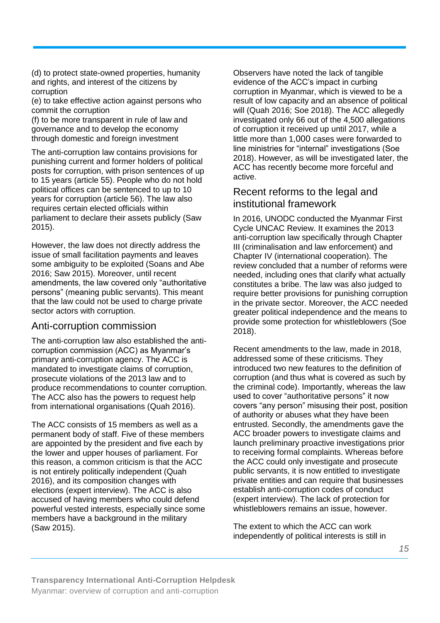(d) to protect state-owned properties, humanity and rights, and interest of the citizens by corruption

(e) to take effective action against persons who commit the corruption

(f) to be more transparent in rule of law and governance and to develop the economy through domestic and foreign investment

The anti-corruption law contains provisions for punishing current and former holders of political posts for corruption, with prison sentences of up to 15 years (article 55). People who do not hold political offices can be sentenced to up to 10 years for corruption (article 56). The law also requires certain elected officials within parliament to declare their assets publicly (Saw 2015).

However, the law does not directly address the issue of small facilitation payments and leaves some ambiguity to be exploited (Soans and Abe 2016; Saw 2015). Moreover, until recent amendments, the law covered only "authoritative persons" (meaning public servants). This meant that the law could not be used to charge private sector actors with corruption.

#### Anti-corruption commission

The anti-corruption law also established the anticorruption commission (ACC) as Myanmar's primary anti-corruption agency. The ACC is mandated to investigate claims of corruption, prosecute violations of the 2013 law and to produce recommendations to counter corruption. The ACC also has the powers to request help from international organisations (Quah 2016).

The ACC consists of 15 members as well as a permanent body of staff. Five of these members are appointed by the president and five each by the lower and upper houses of parliament. For this reason, a common criticism is that the ACC is not entirely politically independent (Quah 2016), and its composition changes with elections (expert interview). The ACC is also accused of having members who could defend powerful vested interests, especially since some members have a background in the military (Saw 2015).

Observers have noted the lack of tangible evidence of the ACC's impact in curbing corruption in Myanmar, which is viewed to be a result of low capacity and an absence of political will (Quah 2016; Soe 2018). The ACC allegedly investigated only 66 out of the 4,500 allegations of corruption it received up until 2017, while a little more than 1,000 cases were forwarded to line ministries for "internal" investigations (Soe 2018). However, as will be investigated later, the ACC has recently become more forceful and active.

#### Recent reforms to the legal and institutional framework

In 2016, UNODC conducted the Myanmar First Cycle UNCAC Review. It examines the 2013 anti-corruption law specifically through Chapter III (criminalisation and law enforcement) and Chapter IV (international cooperation). The review concluded that a number of reforms were needed, including ones that clarify what actually constitutes a bribe. The law was also judged to require better provisions for punishing corruption in the private sector. Moreover, the ACC needed greater political independence and the means to provide some protection for whistleblowers (Soe 2018).

Recent amendments to the law, made in 2018, addressed some of these criticisms. They introduced two new features to the definition of corruption (and thus what is covered as such by the criminal code). Importantly, whereas the law used to cover "authoritative persons" it now covers "any person" misusing their post, position of authority or abuses what they have been entrusted. Secondly, the amendments gave the ACC broader powers to investigate claims and launch preliminary proactive investigations prior to receiving formal complaints. Whereas before the ACC could only investigate and prosecute public servants, it is now entitled to investigate private entities and can require that businesses establish anti-corruption codes of conduct (expert interview). The lack of protection for whistleblowers remains an issue, however.

The extent to which the ACC can work independently of political interests is still in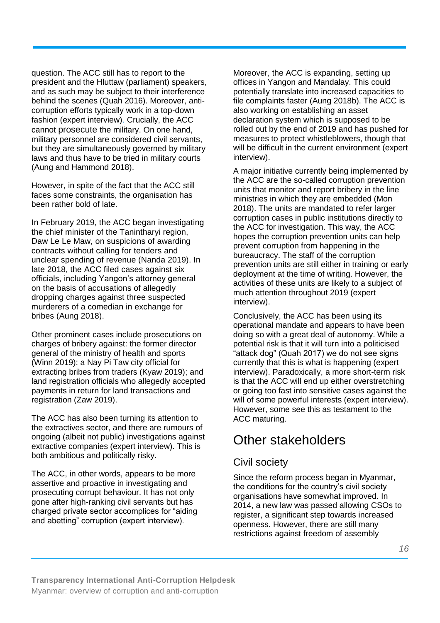question. The ACC still has to report to the president and the Hluttaw (parliament) speakers, and as such may be subject to their interference behind the scenes (Quah 2016). Moreover, anticorruption efforts typically work in a top-down fashion (expert interview). Crucially, the ACC cannot prosecute the military. On one hand, military personnel are considered civil servants, but they are simultaneously governed by military laws and thus have to be tried in military courts (Aung and Hammond 2018).

However, in spite of the fact that the ACC still faces some constraints, the organisation has been rather bold of late.

In February 2019, the ACC began investigating the chief minister of the Tanintharyi region, Daw Le Le Maw, on suspicions of awarding contracts without calling for tenders and unclear spending of revenue (Nanda 2019). In late 2018, the ACC filed cases against six officials, including Yangon's attorney general on the basis of accusations of allegedly dropping charges against three suspected murderers of a comedian in exchange for bribes (Aung 2018).

Other prominent cases include prosecutions on charges of bribery against: the former director general of the ministry of health and sports (Winn 2019); a Nay Pi Taw city official for extracting bribes from traders (Kyaw 2019); and land registration officials who allegedly accepted payments in return for land transactions and registration (Zaw 2019).

The ACC has also been turning its attention to the extractives sector, and there are rumours of ongoing (albeit not public) investigations against extractive companies (expert interview). This is both ambitious and politically risky.

The ACC, in other words, appears to be more assertive and proactive in investigating and prosecuting corrupt behaviour. It has not only gone after high-ranking civil servants but has charged private sector accomplices for "aiding and abetting" corruption (expert interview).

Moreover, the ACC is expanding, setting up offices in Yangon and Mandalay. This could potentially translate into increased capacities to file complaints faster (Aung 2018b). The ACC is also working on establishing an asset declaration system which is supposed to be rolled out by the end of 2019 and has pushed for measures to protect whistleblowers, though that will be difficult in the current environment (expert interview).

A major initiative currently being implemented by the ACC are the so-called corruption prevention units that monitor and report bribery in the line ministries in which they are embedded (Mon 2018). The units are mandated to refer larger corruption cases in public institutions directly to the ACC for investigation. This way, the ACC hopes the corruption prevention units can help prevent corruption from happening in the bureaucracy. The staff of the corruption prevention units are still either in training or early deployment at the time of writing. However, the activities of these units are likely to a subject of much attention throughout 2019 (expert interview).

Conclusively, the ACC has been using its operational mandate and appears to have been doing so with a great deal of autonomy. While a potential risk is that it will turn into a politicised "attack dog" (Quah 2017) we do not see signs currently that this is what is happening (expert interview). Paradoxically, a more short-term risk is that the ACC will end up either overstretching or going too fast into sensitive cases against the will of some powerful interests (expert interview). However, some see this as testament to the ACC maturing.

# Other stakeholders

### Civil society

Since the reform process began in Myanmar, the conditions for the country's civil society organisations have somewhat improved. In 2014, a new law was passed allowing CSOs to register, a significant step towards increased openness. However, there are still many restrictions against freedom of assembly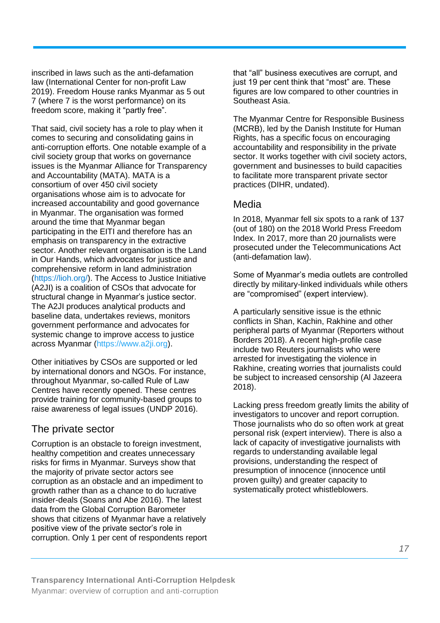inscribed in laws such as the anti-defamation law (International Center for non-profit Law 2019). Freedom House ranks Myanmar as 5 out 7 (where 7 is the worst performance) on its freedom score, making it "partly free".

That said, civil society has a role to play when it comes to securing and consolidating gains in anti-corruption efforts. One notable example of a civil society group that works on governance issues is the Myanmar Alliance for Transparency and Accountability (MATA). MATA is a consortium of over 450 civil society organisations whose aim is to advocate for increased accountability and good governance in Myanmar. The organisation was formed around the time that Myanmar began participating in the EITI and therefore has an emphasis on transparency in the extractive sector. Another relevant organisation is the Land in Our Hands, which advocates for justice and comprehensive reform in land administration [\(https://lioh.org/\)](https://lioh.org/). The Access to Justice Initiative (A2JI) is a coalition of CSOs that advocate for structural change in Myanmar's justice sector. The A2JI produces analytical products and baseline data, undertakes reviews, monitors government performance and advocates for systemic change to improve access to justice across Myanmar (https://www.a2ji.org).

Other initiatives by CSOs are supported or led by international donors and NGOs. For instance, throughout Myanmar, so-called Rule of Law Centres have recently opened. These centres provide training for community-based groups to raise awareness of legal issues (UNDP 2016).

#### The private sector

Corruption is an obstacle to foreign investment, healthy competition and creates unnecessary risks for firms in Myanmar. Surveys show that the majority of private sector actors see corruption as an obstacle and an impediment to growth rather than as a chance to do lucrative insider-deals (Soans and Abe 2016). The latest data from the Global Corruption Barometer shows that citizens of Myanmar have a relatively positive view of the private sector's role in corruption. Only 1 per cent of respondents report

that "all" business executives are corrupt, and just 19 per cent think that "most" are. These figures are low compared to other countries in Southeast Asia.

The Myanmar Centre for Responsible Business (MCRB), led by the Danish Institute for Human Rights, has a specific focus on encouraging accountability and responsibility in the private sector. It works together with civil society actors, government and businesses to build capacities to facilitate more transparent private sector practices (DIHR, undated).

#### Media

In 2018, Myanmar fell six spots to a rank of 137 (out of 180) on the 2018 World Press Freedom Index. In 2017, more than 20 journalists were prosecuted under the Telecommunications Act (anti-defamation law).

Some of Myanmar's media outlets are controlled directly by military-linked individuals while others are "compromised" (expert interview).

A particularly sensitive issue is the ethnic conflicts in Shan, Kachin, Rakhine and other peripheral parts of Myanmar (Reporters without Borders 2018). A recent high-profile case include two Reuters journalists who were arrested for investigating the violence in Rakhine, creating worries that journalists could be subject to increased censorship (Al Jazeera 2018).

Lacking press freedom greatly limits the ability of investigators to uncover and report corruption. Those journalists who do so often work at great personal risk (expert interview). There is also a lack of capacity of investigative journalists with regards to understanding available legal provisions, understanding the respect of presumption of innocence (innocence until proven guilty) and greater capacity to systematically protect whistleblowers.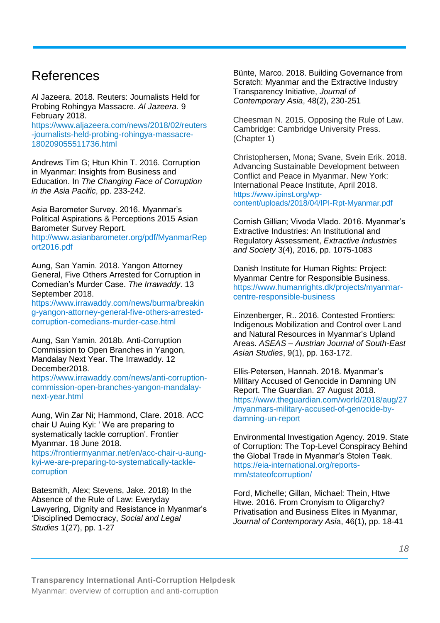### References

Al Jazeera. 2018. Reuters: Journalists Held for Probing Rohingya Massacre. *Al Jazeera.* 9 February 2018.

https://www.aljazeera.com/news/2018/02/reuters -journalists-held-probing-rohingya-massacre-180209055511736.html

Andrews Tim G; Htun Khin T. 2016. Corruption in Myanmar: Insights from Business and Education. In *The Changing Face of Corruption in the Asia Pacific*, pp. 233-242.

Asia Barometer Survey. 2016. Myanmar's Political Aspirations & Perceptions 2015 Asian Barometer Survey Report.

[http://www.asianbarometer.org/pdf/MyanmarRep](http://www.asianbarometer.org/pdf/MyanmarReport2016.pdf) [ort2016.pdf](http://www.asianbarometer.org/pdf/MyanmarReport2016.pdf)

Aung, San Yamin. 2018. Yangon Attorney General, Five Others Arrested for Corruption in Comedian's Murder Case. *The Irrawaddy*. 13 September 2018.

[https://www.irrawaddy.com/news/burma/breakin](https://www.irrawaddy.com/news/burma/breaking-yangon-attorney-general-five-others-arrested-corruption-comedians-murder-case.html) [g-yangon-attorney-general-five-others-arrested](https://www.irrawaddy.com/news/burma/breaking-yangon-attorney-general-five-others-arrested-corruption-comedians-murder-case.html)[corruption-comedians-murder-case.html](https://www.irrawaddy.com/news/burma/breaking-yangon-attorney-general-five-others-arrested-corruption-comedians-murder-case.html)

Aung, San Yamin. 2018b. Anti-Corruption Commission to Open Branches in Yangon, Mandalay Next Year. The Irrawaddy. 12 December2018.

https://www.irrawaddy.com/news/anti-corruptioncommission-open-branches-yangon-mandalaynext-year.html

Aung, Win Zar Ni; Hammond, Clare. 2018. ACC chair U Auing Kyi: ' We are preparing to systematically tackle corruption'. Frontier Myanmar. 18 June 2018.

[https://frontiermyanmar.net/en/acc-chair-u-aung](https://frontiermyanmar.net/en/acc-chair-u-aung-kyi-we-are-preparing-to-systematically-tackle-corruption)[kyi-we-are-preparing-to-systematically-tackle](https://frontiermyanmar.net/en/acc-chair-u-aung-kyi-we-are-preparing-to-systematically-tackle-corruption)[corruption](https://frontiermyanmar.net/en/acc-chair-u-aung-kyi-we-are-preparing-to-systematically-tackle-corruption)

Batesmith, Alex; Stevens, Jake. 2018) In the Absence of the Rule of Law: Everyday Lawyering, Dignity and Resistance in Myanmar's 'Disciplined Democracy, *Social and Legal Studies* 1(27), pp. 1-27

Bünte, Marco. 2018. Building Governance from Scratch: Myanmar and the Extractive Industry Transparency Initiative, *Journal of Contemporary Asia*, 48(2), 230-251

Cheesman N. 2015. Opposing the Rule of Law. Cambridge: Cambridge University Press. (Chapter 1)

Christophersen, Mona; Svane, Svein Erik. 2018. Advancing Sustainable Development between Conflict and Peace in Myanmar. New York: International Peace Institute, April 2018. [https://www.ipinst.org/wp](https://www.ipinst.org/wp-content/uploads/2018/04/IPI-Rpt-Myanmar.pdf)[content/uploads/2018/04/IPI-Rpt-Myanmar.pdf](https://www.ipinst.org/wp-content/uploads/2018/04/IPI-Rpt-Myanmar.pdf)

Cornish Gillian; Vivoda Vlado. 2016. Myanmar's Extractive Industries: An Institutional and Regulatory Assessment, *Extractive Industries and Society* 3(4), 2016, pp. 1075-1083

Danish Institute for Human Rights: Project: Myanmar Centre for Responsible Business. [https://www.humanrights.dk/projects/myanmar](https://www.humanrights.dk/projects/myanmar-centre-responsible-business)[centre-responsible-business](https://www.humanrights.dk/projects/myanmar-centre-responsible-business)

Einzenberger, R.. 2016. Contested Frontiers: Indigenous Mobilization and Control over Land and Natural Resources in Myanmar's Upland Areas. *ASEAS – Austrian Journal of South-East Asian Studies*, 9(1), pp. 163-172.

Ellis-Petersen, Hannah. 2018. Myanmar's Military Accused of Genocide in Damning UN Report. The Guardian. 27 August 2018. https://www.theguardian.com/world/2018/aug/27 /myanmars-military-accused-of-genocide-bydamning-un-report

Environmental Investigation Agency. 2019. State of Corruption: The Top-Level Conspiracy Behind the Global Trade in Myanmar's Stolen Teak. [https://eia-international.org/reports](https://eia-international.org/reports-mm/stateofcorruption/)[mm/stateofcorruption/](https://eia-international.org/reports-mm/stateofcorruption/)

Ford, Michelle; Gillan, Michael: Thein, Htwe Htwe. 2016. From Cronyism to Oligarchy? Privatisation and Business Elites in Myanmar, *Journal of Contemporary Asi*a, 46(1), pp. 18-41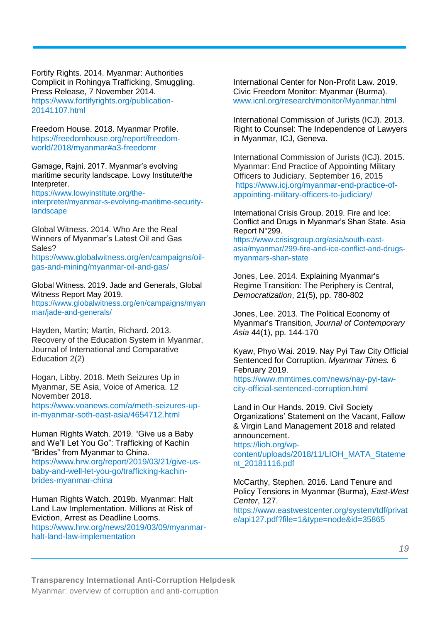Fortify Rights. 2014. Myanmar: Authorities Complicit in Rohingya Trafficking, Smuggling. Press Release, 7 November 2014. [https://www.fortifyrights.org/publication-](https://www.fortifyrights.org/publication-20141107.html)[20141107.html](https://www.fortifyrights.org/publication-20141107.html)

Freedom House. 2018. Myanmar Profile. [https://freedomhouse.org/report/freedom](https://freedomhouse.org/report/freedom-world/2018/myanmar#a3-freedomr)[world/2018/myanmar#a3-freedomr](https://freedomhouse.org/report/freedom-world/2018/myanmar#a3-freedomr)

Gamage, Rajni. 2017. Myanmar's evolving maritime security landscape. Lowy Institute/the Interpreter.

[https://www.lowyinstitute.org/the](https://www.lowyinstitute.org/the-interpreter/myanmar-s-evolving-maritime-security-landscape)[interpreter/myanmar-s-evolving-maritime-security](https://www.lowyinstitute.org/the-interpreter/myanmar-s-evolving-maritime-security-landscape)[landscape](https://www.lowyinstitute.org/the-interpreter/myanmar-s-evolving-maritime-security-landscape)

Global Witness. 2014. Who Are the Real Winners of Myanmar's Latest Oil and Gas Sales?

https://www.globalwitness.org/en/campaigns/oilgas-and-mining/myanmar-oil-and-gas/

Global Witness. 2019. Jade and Generals, Global Witness Report May 2019.

[https://www.globalwitness.org/en/campaigns/myan](https://www.globalwitness.org/en/campaigns/myanmar/jade-and-generals/) [mar/jade-and-generals/](https://www.globalwitness.org/en/campaigns/myanmar/jade-and-generals/)

Hayden, Martin; Martin, Richard. 2013. Recovery of the Education System in Myanmar, Journal of International and Comparative Education 2(2)

Hogan, Libby. 2018. Meth Seizures Up in Myanmar, SE Asia, Voice of America. 12 November 2018.

[https://www.voanews.com/a/meth-seizures-up](https://www.voanews.com/a/meth-seizures-up-in-myanmar-soth-east-asia/4654712.html)[in-myanmar-soth-east-asia/4654712.html](https://www.voanews.com/a/meth-seizures-up-in-myanmar-soth-east-asia/4654712.html)

Human Rights Watch. 2019. "Give us a Baby and We'll Let You Go": Trafficking of Kachin "Brides" from Myanmar to China. [https://www.hrw.org/report/2019/03/21/give-us](https://www.hrw.org/report/2019/03/21/give-us-baby-and-well-let-you-go/trafficking-kachin-brides-myanmar-china)[baby-and-well-let-you-go/trafficking-kachin](https://www.hrw.org/report/2019/03/21/give-us-baby-and-well-let-you-go/trafficking-kachin-brides-myanmar-china)[brides-myanmar-china](https://www.hrw.org/report/2019/03/21/give-us-baby-and-well-let-you-go/trafficking-kachin-brides-myanmar-china)

Human Rights Watch. 2019b. Myanmar: Halt Land Law Implementation. Millions at Risk of Eviction, Arrest as Deadline Looms. [https://www.hrw.org/news/2019/03/09/myanmar](https://www.hrw.org/news/2019/03/09/myanmar-halt-land-law-implementation)[halt-land-law-implementation](https://www.hrw.org/news/2019/03/09/myanmar-halt-land-law-implementation)

International Center for Non-Profit Law. 2019. Civic Freedom Monitor: Myanmar (Burma). [www.icnl.org/research/monitor/Myanmar.html](http://www.icnl.org/research/monitor/Myanmar.html)

International Commission of Jurists (ICJ). 2013. Right to Counsel: The Independence of Lawyers in Myanmar, ICJ, Geneva.

International Commission of Jurists (ICJ). 2015. Myanmar: End Practice of Appointing Military Officers to Judiciary. September 16, 2015 [https://www.icj.org/myanmar-end-practice-of](https://www.icj.org/myanmar-end-practice-of-appointing-military-officers-to-judiciary/)[appointing-military-officers-to-judiciary/](https://www.icj.org/myanmar-end-practice-of-appointing-military-officers-to-judiciary/)

International Crisis Group. 2019. Fire and Ice: Conflict and Drugs in Myanmar's Shan State. Asia Report N°299.

[https://www.crisisgroup.org/asia/south-east](https://www.crisisgroup.org/asia/south-east-asia/myanmar/299-fire-and-ice-conflict-and-drugs-myanmars-shan-state)[asia/myanmar/299-fire-and-ice-conflict-and-drugs](https://www.crisisgroup.org/asia/south-east-asia/myanmar/299-fire-and-ice-conflict-and-drugs-myanmars-shan-state)[myanmars-shan-state](https://www.crisisgroup.org/asia/south-east-asia/myanmar/299-fire-and-ice-conflict-and-drugs-myanmars-shan-state)

Jones, Lee. 2014. Explaining Myanmar's Regime Transition: The Periphery is Central, *Democratization*, 21(5), pp. 780-802

Jones, Lee. 2013. The Political Economy of Myanmar's Transition, *Journal of Contemporary Asia* 44(1), pp. 144-170

Kyaw, Phyo Wai. 2019. Nay Pyi Taw City Official Sentenced for Corruption. *Myanmar Times.* 6 February 2019.

https://www.mmtimes.com/news/nay-pyi-tawcity-official-sentenced-corruption.html

Land in Our Hands. 2019. Civil Society Organizations' Statement on the Vacant, Fallow & Virgin Land Management 2018 and related announcement.

[https://lioh.org/wp-](https://lioh.org/wp-content/uploads/2018/11/LIOH_MATA_Statement_20181116.pdf)

[content/uploads/2018/11/LIOH\\_MATA\\_Stateme](https://lioh.org/wp-content/uploads/2018/11/LIOH_MATA_Statement_20181116.pdf) [nt\\_20181116.pdf](https://lioh.org/wp-content/uploads/2018/11/LIOH_MATA_Statement_20181116.pdf)

McCarthy, Stephen. 2016. Land Tenure and Policy Tensions in Myanmar (Burma), *East-West Center*, 127.

https://www.eastwestcenter.org/system/tdf/privat e/api127.pdf?file=1&type=node&id=35865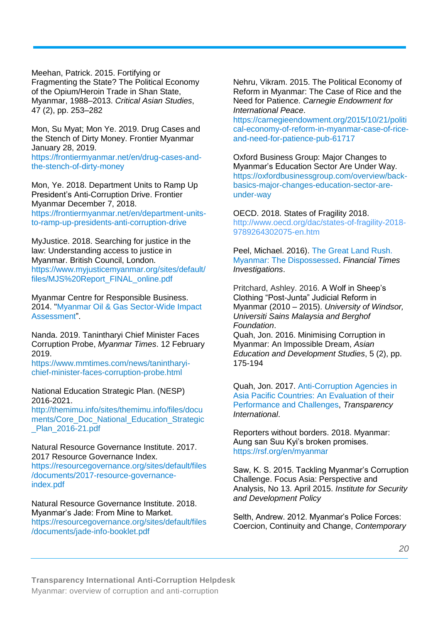Meehan, Patrick. 2015. Fortifying or Fragmenting the State? The Political Economy of the Opium/Heroin Trade in Shan State, Myanmar, 1988–2013. *Critical Asian Studies*, 47 (2), pp. 253–282

Mon, Su Myat; Mon Ye. 2019. Drug Cases and the Stench of Dirty Money. Frontier Myanmar January 28, 2019. [https://frontiermyanmar.net/en/drug-cases-and](https://frontiermyanmar.net/en/drug-cases-and-the-stench-of-dirty-money)[the-stench-of-dirty-money](https://frontiermyanmar.net/en/drug-cases-and-the-stench-of-dirty-money)

Mon, Ye. 2018. Department Units to Ramp Up President's Anti-Corruption Drive. Frontier Myanmar December 7, 2018. [https://frontiermyanmar.net/en/department-units](https://frontiermyanmar.net/en/department-units-to-ramp-up-presidents-anti-corruption-drive)[to-ramp-up-presidents-anti-corruption-drive](https://frontiermyanmar.net/en/department-units-to-ramp-up-presidents-anti-corruption-drive)

MyJustice. 2018. Searching for justice in the law: Understanding access to justice in Myanmar. British Council, London. [https://www.myjusticemyanmar.org/sites/default/](https://www.myjusticemyanmar.org/sites/default/files/MJS%20Report_FINAL_online.pdf) [files/MJS%20Report\\_FINAL\\_online.pdf](https://www.myjusticemyanmar.org/sites/default/files/MJS%20Report_FINAL_online.pdf)

Myanmar Centre for Responsible Business. 2014. ["Myanmar Oil & Gas Sector-Wide Impact](http://www.myanmar-responsiblebusiness.org/pdf/SWIA/Oil-Gas/00-Myanmar-Oil-and-Gas-Sector-Wide-Assessment.pdf)  [Assessment"](http://www.myanmar-responsiblebusiness.org/pdf/SWIA/Oil-Gas/00-Myanmar-Oil-and-Gas-Sector-Wide-Assessment.pdf).

Nanda. 2019. Tanintharyi Chief Minister Faces Corruption Probe, *Myanmar Times*. 12 February 2019.

https://www.mmtimes.com/news/tanintharyichief-minister-faces-corruption-probe.html

National Education Strategic Plan. (NESP) 2016-2021.

[http://themimu.info/sites/themimu.info/files/docu](http://themimu.info/sites/themimu.info/files/documents/Core_Doc_National_Education_Strategic_Plan_2016-21.pdf) [ments/Core\\_Doc\\_National\\_Education\\_Strategic](http://themimu.info/sites/themimu.info/files/documents/Core_Doc_National_Education_Strategic_Plan_2016-21.pdf) [\\_Plan\\_2016-21.pdf](http://themimu.info/sites/themimu.info/files/documents/Core_Doc_National_Education_Strategic_Plan_2016-21.pdf)

Natural Resource Governance Institute. 2017. 2017 Resource Governance Index.

[https://resourcegovernance.org/sites/default/files](https://resourcegovernance.org/sites/default/files/documents/2017-resource-governance-index.pdf) [/documents/2017-resource-governance](https://resourcegovernance.org/sites/default/files/documents/2017-resource-governance-index.pdf)[index.pdf](https://resourcegovernance.org/sites/default/files/documents/2017-resource-governance-index.pdf)

Natural Resource Governance Institute. 2018. Myanmar's Jade: From Mine to Market. [https://resourcegovernance.org/sites/default/files](https://resourcegovernance.org/sites/default/files/documents/jade-info-booklet.pdf) [/documents/jade-info-booklet.pdf](https://resourcegovernance.org/sites/default/files/documents/jade-info-booklet.pdf) 

Nehru, Vikram. 2015. The Political Economy of Reform in Myanmar: The Case of Rice and the Need for Patience. *Carnegie Endowment for International Peace*.

[https://carnegieendowment.org/2015/10/21/politi](https://carnegieendowment.org/2015/10/21/political-economy-of-reform-in-myanmar-case-of-rice-and-need-for-patience-pub-61717) [cal-economy-of-reform-in-myanmar-case-of-rice](https://carnegieendowment.org/2015/10/21/political-economy-of-reform-in-myanmar-case-of-rice-and-need-for-patience-pub-61717)[and-need-for-patience-pub-61717](https://carnegieendowment.org/2015/10/21/political-economy-of-reform-in-myanmar-case-of-rice-and-need-for-patience-pub-61717)

Oxford Business Group: Major Changes to Myanmar's Education Sector Are Under Way. https://oxfordbusinessgroup.com/overview/backbasics-major-changes-education-sector-areunder-way

OECD. 2018. States of Fragility 2018. http://www.oecd.org/dac/states-of-fragility-2018- 9789264302075-en.htm

Peel, Michael. 2016). [The Great Land Rush.](https://ig.ft.com/sites/land-rush-investment/myanmar/)  [Myanmar: The Dispossessed.](https://ig.ft.com/sites/land-rush-investment/myanmar/) *Financial Times Investigations*.

Pritchard, Ashley. 2016. A Wolf in Sheep's Clothing "Post-Junta" Judicial Reform in Myanmar (2010 – 2015). *University of Windsor, Universiti Sains Malaysia and Berghof Foundation*.

Quah, Jon. 2016. Minimising Corruption in Myanmar: An Impossible Dream, *Asian Education and Development Studies*, 5 (2), pp. 175-194

Quah, Jon. 2017. [Anti-Corruption Agencies in](https://www.transparency.org/files/content/feature/2017_ACA_Background_Paper.pdf)  [Asia Pacific Countries: An Evaluation of their](https://www.transparency.org/files/content/feature/2017_ACA_Background_Paper.pdf)  [Performance and Challenges,](https://www.transparency.org/files/content/feature/2017_ACA_Background_Paper.pdf) *Transparency International*.

Reporters without borders. 2018. Myanmar: Aung san Suu Kyi's broken promises. <https://rsf.org/en/myanmar>

Saw, K. S. 2015. Tackling Myanmar's Corruption Challenge. Focus Asia: Perspective and Analysis, No 13. April 2015. *Institute for Security and Development Policy*

Selth, Andrew. 2012. Myanmar's Police Forces: Coercion, Continuity and Change, *Contemporary*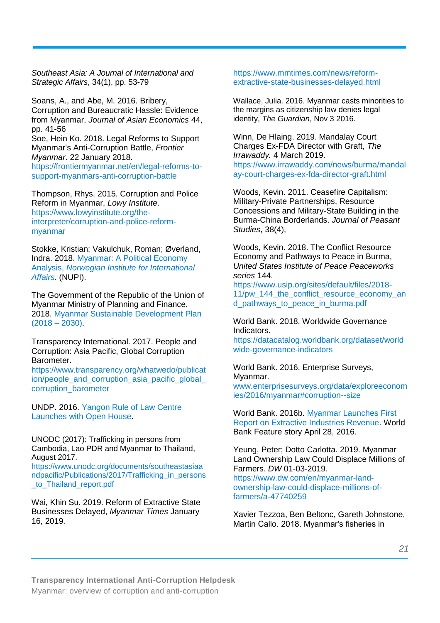*Southeast Asia: A Journal of International and Strategic Affairs*, 34(1), pp. 53-79

Soans, A., and Abe, M. 2016. Bribery, Corruption and Bureaucratic Hassle: Evidence from Myanmar, *Journal of Asian Economics* 44, pp. 41-56

Soe, Hein Ko. 2018. Legal Reforms to Support Myanmar's Anti-Corruption Battle, *Frontier Myanmar*. 22 January 2018. [https://frontiermyanmar.net/en/legal-reforms-to](https://frontiermyanmar.net/en/legal-reforms-to-support-myanmars-anti-corruption-battle)[support-myanmars-anti-corruption-battle](https://frontiermyanmar.net/en/legal-reforms-to-support-myanmars-anti-corruption-battle)

Thompson, Rhys. 2015. Corruption and Police Reform in Myanmar, *Lowy Institute*. [https://www.lowyinstitute.org/the](https://www.lowyinstitute.org/the-interpreter/corruption-and-police-reform-myanmar)[interpreter/corruption-and-police-reform](https://www.lowyinstitute.org/the-interpreter/corruption-and-police-reform-myanmar)[myanmar](https://www.lowyinstitute.org/the-interpreter/corruption-and-police-reform-myanmar)

Stokke, Kristian; Vakulchuk, Roman; Øverland, Indra. 2018. [Myanmar: A Political Economy](https://reliefweb.int/sites/reliefweb.int/files/resources/Myanmar_-_A_Political_Economy_Analysis_-_Norwegian_Institute_of_International_Affairs_2018.pdf)  Analysis, *[Norwegian Institute for International](https://reliefweb.int/sites/reliefweb.int/files/resources/Myanmar_-_A_Political_Economy_Analysis_-_Norwegian_Institute_of_International_Affairs_2018.pdf)  [Affairs](https://reliefweb.int/sites/reliefweb.int/files/resources/Myanmar_-_A_Political_Economy_Analysis_-_Norwegian_Institute_of_International_Affairs_2018.pdf)*. (NUPI).

The Government of the Republic of the Union of Myanmar Ministry of Planning and Finance. 2018. [Myanmar Sustainable Development Plan](http://www.themimu.info/sites/themimu.info/files/documents/Core_Doc_Myanmar_Sustainable_Development_Plan_2018_-_2030_Aug2018.pdf)   $(2018 - 2030)$ .

Transparency International. 2017. People and Corruption: Asia Pacific, Global Corruption Barometer.

https://www.transparency.org/whatwedo/publicat ion/people\_and\_corruption\_asia\_pacific\_global\_ corruption\_barometer

UNDP. 2016. [Yangon Rule of Law Centre](http://www.mm.undp.org/content/myanmar/en/home/presscenter/pressreleases/2016/01/23/yangon-rule-of-law-centre-launches-with-open-house.html)  [Launches with Open House.](http://www.mm.undp.org/content/myanmar/en/home/presscenter/pressreleases/2016/01/23/yangon-rule-of-law-centre-launches-with-open-house.html)

UNODC (2017): Trafficking in persons from Cambodia, Lao PDR and Myanmar to Thailand, August 2017.

[https://www.unodc.org/documents/southeastasiaa](https://www.unodc.org/documents/southeastasiaandpacific/Publications/2017/Trafficking_in_persons_to_Thailand_report.pdf) [ndpacific/Publications/2017/Trafficking\\_in\\_persons](https://www.unodc.org/documents/southeastasiaandpacific/Publications/2017/Trafficking_in_persons_to_Thailand_report.pdf) [\\_to\\_Thailand\\_report.pdf](https://www.unodc.org/documents/southeastasiaandpacific/Publications/2017/Trafficking_in_persons_to_Thailand_report.pdf)

Wai, Khin Su. 2019. Reform of Extractive State Businesses Delayed, *Myanmar Times* January 16, 2019.

#### [https://www.mmtimes.com/news/reform](https://www.mmtimes.com/news/reform-extractive-state-businesses-delayed.html)[extractive-state-businesses-delayed.html](https://www.mmtimes.com/news/reform-extractive-state-businesses-delayed.html)

Wallace, Julia. 2016. Myanmar casts minorities to the margins as citizenship law denies legal identity, *The Guardian*, Nov 3 2016.

Winn, De Hlaing. 2019. Mandalay Court Charges Ex-FDA Director with Graft, *The Irrawaddy.* 4 March 2019. [https://www.irrawaddy.com/news/burma/mandal](https://www.irrawaddy.com/news/burma/mandalay-court-charges-ex-fda-director-graft.html) [ay-court-charges-ex-fda-director-graft.html](https://www.irrawaddy.com/news/burma/mandalay-court-charges-ex-fda-director-graft.html)

Woods, Kevin. 2011. Ceasefire Capitalism: Military-Private Partnerships, Resource Concessions and Military-State Building in the Burma-China Borderlands. *Journal of Peasant Studies*, 38(4),

Woods, Kevin. 2018. The Conflict Resource Economy and Pathways to Peace in Burma, *United States Institute of Peace Peaceworks series* 144.

https://www.usip.org/sites/default/files/2018- 11/pw\_144\_the\_conflict\_resource\_economy\_an d\_pathways\_to\_peace\_in\_burma.pdf

World Bank. 2018. Worldwide Governance Indicators.

[https://datacatalog.worldbank.org/dataset/world](https://datacatalog.worldbank.org/dataset/worldwide-governance-indicators) [wide-governance-indicators](https://datacatalog.worldbank.org/dataset/worldwide-governance-indicators)

World Bank. 2016. Enterprise Surveys, Myanmar.

[www.enterprisesurveys.org/data/exploreeconom](http://www.enterprisesurveys.org/data/exploreeconomies/2016/myanmar#corruption--size) [ies/2016/myanmar#corruption--size](http://www.enterprisesurveys.org/data/exploreeconomies/2016/myanmar#corruption--size)

World Bank. 2016b. [Myanmar Launches First](http://www.worldbank.org/en/news/feature/2016/04/28/myanmar-launches-first-report-on-extractive-industries-revenue)  [Report on Extractive Industries Revenue.](http://www.worldbank.org/en/news/feature/2016/04/28/myanmar-launches-first-report-on-extractive-industries-revenue) World Bank Feature story April 28, 2016.

Yeung, Peter; Dotto Carlotta. 2019. Myanmar Land Ownership Law Could Displace Millions of Farmers. *DW* 01-03-2019. [https://www.dw.com/en/myanmar-land](https://www.dw.com/en/myanmar-land-ownership-law-could-displace-millions-of-farmers/a-47740259)[ownership-law-could-displace-millions-of](https://www.dw.com/en/myanmar-land-ownership-law-could-displace-millions-of-farmers/a-47740259)[farmers/a-47740259](https://www.dw.com/en/myanmar-land-ownership-law-could-displace-millions-of-farmers/a-47740259)

Xavier Tezzoa, Ben Beltonc, Gareth Johnstone, Martin Callo. 2018. Myanmar's fisheries in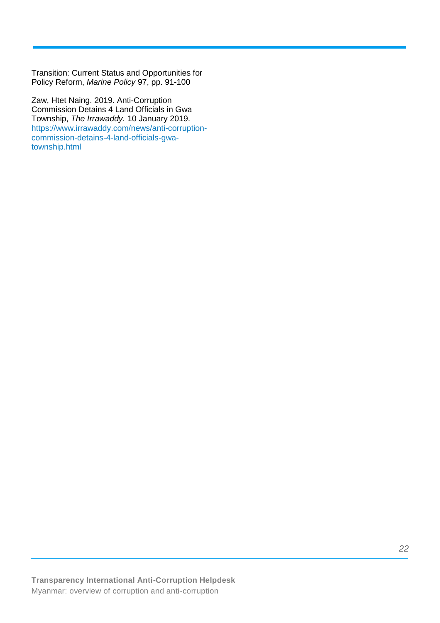Transition: Current Status and Opportunities for Policy Reform, *Marine Policy* 97, pp. 91-100

Zaw, Htet Naing. 2019. Anti-Corruption Commission Detains 4 Land Officials in Gwa Township, *The Irrawaddy.* 10 January 2019. https://www.irrawaddy.com/news/anti-corruptioncommission-detains-4-land-officials-gwatownship.html